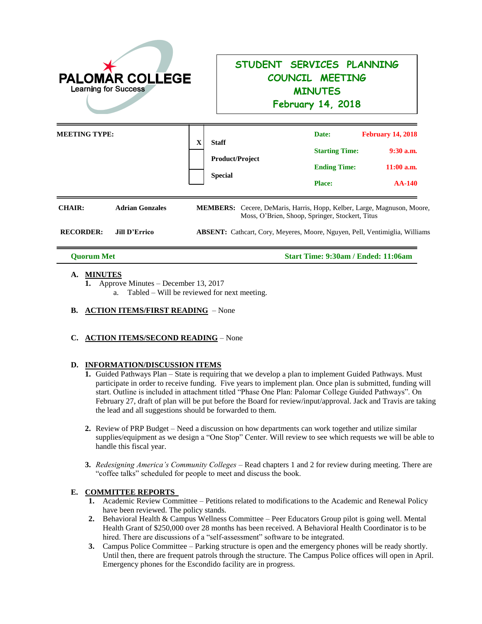

# **STUDENT SERVICES PLANNING COUNCIL MEETING MINUTES**

**February 14, 2018**

| <b>MEETING TYPE:</b> |                        | $\mathbf X$ | <b>Staff</b><br><b>Product/Project</b><br><b>Special</b>                                                                          | Date:<br><b>Starting Time:</b><br><b>Ending Time:</b><br><b>Place:</b> | <b>February 14, 2018</b><br>$9:30$ a.m.<br>$11:00$ a.m.<br><b>AA-140</b> |
|----------------------|------------------------|-------------|-----------------------------------------------------------------------------------------------------------------------------------|------------------------------------------------------------------------|--------------------------------------------------------------------------|
| <b>CHAIR:</b>        | <b>Adrian Gonzales</b> |             | <b>MEMBERS:</b> Cecere, DeMaris, Harris, Hopp, Kelber, Large, Magnuson, Moore,<br>Moss, O'Brien, Shoop, Springer, Stockert, Titus |                                                                        |                                                                          |

**RECORDER: Jill D'Errico ABSENT:** Cathcart, Cory, Meyeres, Moore, Nguyen, Pell, Ventimiglia, Williams

**Quorum Met Start Time: 9:30am / Ended: 11:06am**

## **A. MINUTES**

**1.** Approve Minutes – December 13, 2017

a. Tabled – Will be reviewed for next meeting.

**B. ACTION ITEMS/FIRST READING** – None

## **C. ACTION ITEMS/SECOND READING** – None

#### **D. INFORMATION/DISCUSSION ITEMS**

- **1.** Guided Pathways Plan State is requiring that we develop a plan to implement Guided Pathways. Must participate in order to receive funding. Five years to implement plan. Once plan is submitted, funding will start. Outline is included in attachment titled "Phase One Plan: Palomar College Guided Pathways". On February 27, draft of plan will be put before the Board for review/input/approval. Jack and Travis are taking the lead and all suggestions should be forwarded to them.
- **2.** Review of PRP Budget Need a discussion on how departments can work together and utilize similar supplies/equipment as we design a "One Stop" Center. Will review to see which requests we will be able to handle this fiscal year.
- **3.** *Redesigning America's Community Colleges* Read chapters 1 and 2 for review during meeting. There are "coffee talks" scheduled for people to meet and discuss the book.

## **E. COMMITTEE REPORTS**

- **1.** Academic Review Committee Petitions related to modifications to the Academic and Renewal Policy have been reviewed. The policy stands.
- **2.** Behavioral Health & Campus Wellness Committee Peer Educators Group pilot is going well. Mental Health Grant of \$250,000 over 28 months has been received. A Behavioral Health Coordinator is to be hired. There are discussions of a "self-assessment" software to be integrated.
- **3.** Campus Police Committee Parking structure is open and the emergency phones will be ready shortly. Until then, there are frequent patrols through the structure. The Campus Police offices will open in April. Emergency phones for the Escondido facility are in progress.